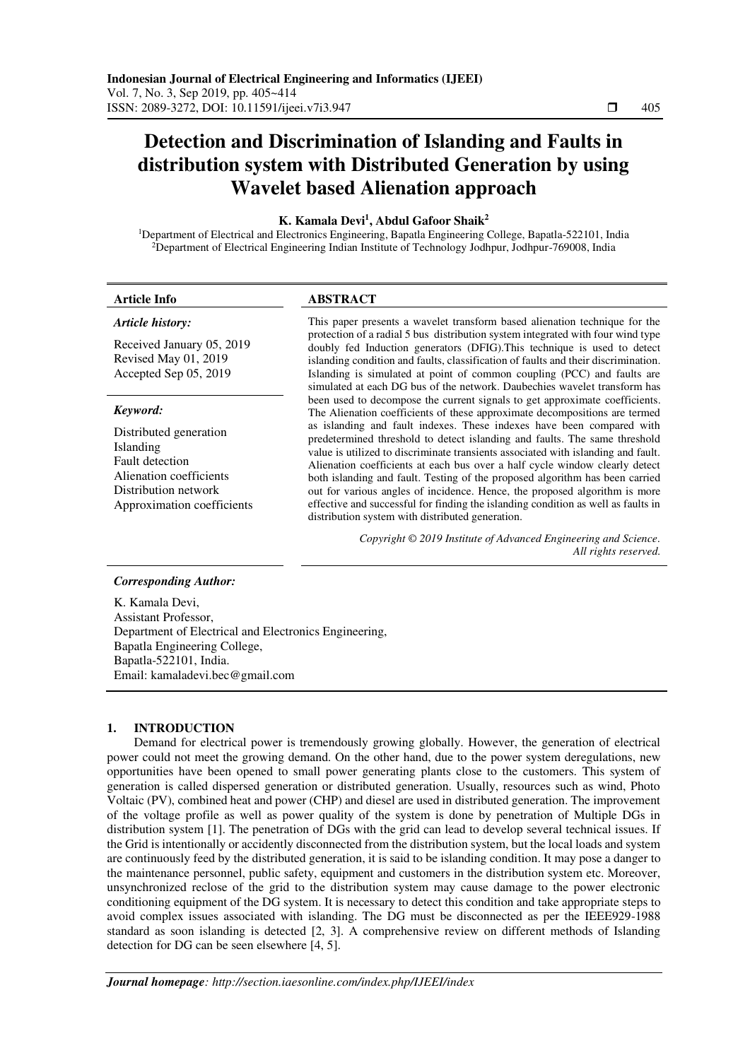# **Detection and Discrimination of Islanding and Faults in distribution system with Distributed Generation by using Wavelet based Alienation approach**

# **K. Kamala Devi<sup>1</sup> , Abdul Gafoor Shaik<sup>2</sup>**

<sup>1</sup>Department of Electrical and Electronics Engineering, Bapatla Engineering College, Bapatla-522101, India <sup>2</sup>Department of Electrical Engineering Indian Institute of Technology Jodhpur, Jodhpur-769008, India

#### *Article history:*

Received January 05, 2019 Revised May 01, 2019 Accepted Sep 05, 2019

#### *Keyword:*

Distributed generation Islanding Fault detection Alienation coefficients Distribution network Approximation coefficients

# **Article Info ABSTRACT**

This paper presents a wavelet transform based alienation technique for the protection of a radial 5 bus distribution system integrated with four wind type doubly fed Induction generators (DFIG).This technique is used to detect islanding condition and faults, classification of faults and their discrimination. Islanding is simulated at point of common coupling (PCC) and faults are simulated at each DG bus of the network. Daubechies wavelet transform has been used to decompose the current signals to get approximate coefficients. The Alienation coefficients of these approximate decompositions are termed as islanding and fault indexes. These indexes have been compared with predetermined threshold to detect islanding and faults. The same threshold value is utilized to discriminate transients associated with islanding and fault. Alienation coefficients at each bus over a half cycle window clearly detect both islanding and fault. Testing of the proposed algorithm has been carried out for various angles of incidence. Hence, the proposed algorithm is more effective and successful for finding the islanding condition as well as faults in distribution system with distributed generation.

> *Copyright © 2019 Institute of Advanced Engineering and Science. All rights reserved.*

#### *Corresponding Author:*

K. Kamala Devi, Assistant Professor, Department of Electrical and Electronics Engineering, Bapatla Engineering College, Bapatla-522101, India. Email: kamaladevi.bec@gmail.com

# **1. INTRODUCTION**

Demand for electrical power is tremendously growing globally. However, the generation of electrical power could not meet the growing demand. On the other hand, due to the power system deregulations, new opportunities have been opened to small power generating plants close to the customers. This system of generation is called dispersed generation or distributed generation. Usually, resources such as wind, Photo Voltaic (PV), combined heat and power (CHP) and diesel are used in distributed generation. The improvement of the voltage profile as well as power quality of the system is done by penetration of Multiple DGs in distribution system [1]. The penetration of DGs with the grid can lead to develop several technical issues. If the Grid is intentionally or accidently disconnected from the distribution system, but the local loads and system are continuously feed by the distributed generation, it is said to be islanding condition. It may pose a danger to the maintenance personnel, public safety, equipment and customers in the distribution system etc. Moreover, unsynchronized reclose of the grid to the distribution system may cause damage to the power electronic conditioning equipment of the DG system. It is necessary to detect this condition and take appropriate steps to avoid complex issues associated with islanding. The DG must be disconnected as per the IEEE929-1988 standard as soon islanding is detected [2, 3]. A comprehensive review on different methods of Islanding detection for DG can be seen elsewhere [4, 5].

٦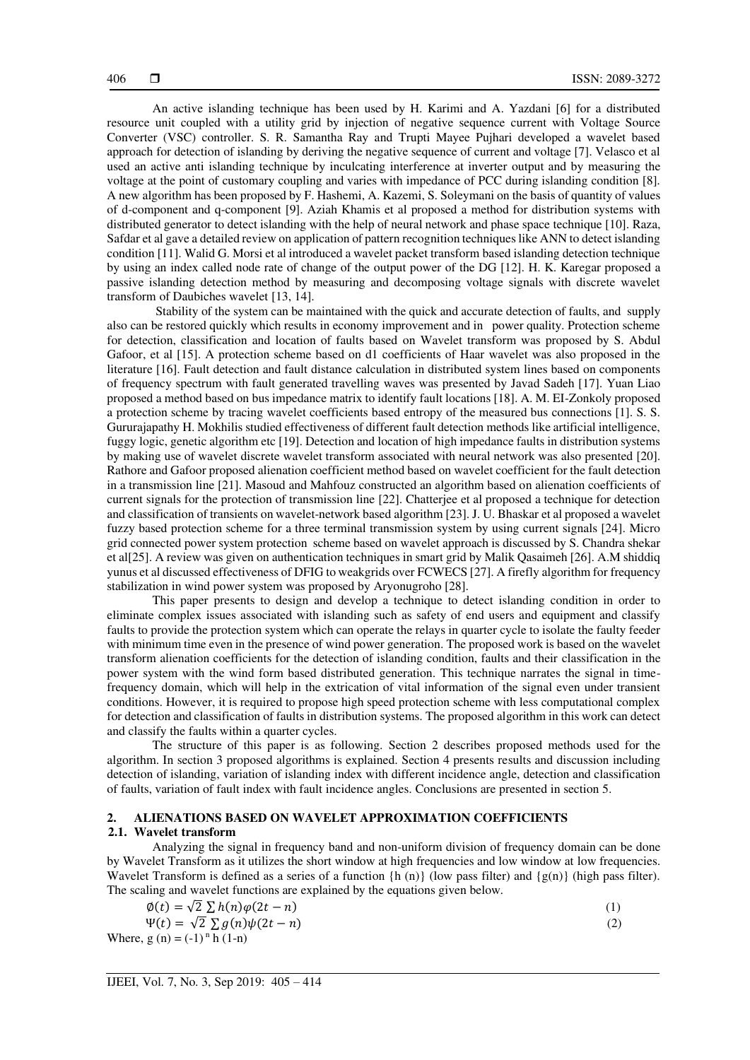An active islanding technique has been used by H. Karimi and A. Yazdani [6] for a distributed resource unit coupled with a utility grid by injection of negative sequence current with Voltage Source Converter (VSC) controller. S. R. Samantha Ray and Trupti Mayee Pujhari developed a wavelet based approach for detection of islanding by deriving the negative sequence of current and voltage [7]. Velasco et al used an active anti islanding technique by inculcating interference at inverter output and by measuring the voltage at the point of customary coupling and varies with impedance of PCC during islanding condition [8]. A new algorithm has been proposed by F. Hashemi, A. Kazemi, S. Soleymani on the basis of quantity of values of d-component and q-component [9]. Aziah Khamis et al proposed a method for distribution systems with distributed generator to detect islanding with the help of neural network and phase space technique [10]. Raza, Safdar et al gave a detailed review on application of pattern recognition techniques like ANN to detect islanding condition [11]. Walid G. Morsi et al introduced a wavelet packet transform based islanding detection technique by using an index called node rate of change of the output power of the DG [12]. H. K. Karegar proposed a passive islanding detection method by measuring and decomposing voltage signals with discrete wavelet transform of Daubiches wavelet [13, 14].

 Stability of the system can be maintained with the quick and accurate detection of faults, and supply also can be restored quickly which results in economy improvement and in power quality. Protection scheme for detection, classification and location of faults based on Wavelet transform was proposed by S. Abdul Gafoor, et al [15]. A protection scheme based on d1 coefficients of Haar wavelet was also proposed in the literature [16]. Fault detection and fault distance calculation in distributed system lines based on components of frequency spectrum with fault generated travelling waves was presented by Javad Sadeh [17]. Yuan Liao proposed a method based on bus impedance matrix to identify fault locations [18]. A. M. EI-Zonkoly proposed a protection scheme by tracing wavelet coefficients based entropy of the measured bus connections [1]. S. S. Gururajapathy H. Mokhilis studied effectiveness of different fault detection methods like artificial intelligence, fuggy logic, genetic algorithm etc [19]. Detection and location of high impedance faults in distribution systems by making use of wavelet discrete wavelet transform associated with neural network was also presented [20]. Rathore and Gafoor proposed alienation coefficient method based on wavelet coefficient for the fault detection in a transmission line [21]. Masoud and Mahfouz constructed an algorithm based on alienation coefficients of current signals for the protection of transmission line [22]. Chatterjee et al proposed a technique for detection and classification of transients on wavelet-network based algorithm [23]. J. U. Bhaskar et al proposed a wavelet fuzzy based protection scheme for a three terminal transmission system by using current signals [24]. Micro grid connected power system protection scheme based on wavelet approach is discussed by S. Chandra shekar et al[25]. A review was given on authentication techniques in smart grid by Malik Qasaimeh [26]. A.M shiddiq yunus et al discussed effectiveness of DFIG to weakgrids over FCWECS [27]. A firefly algorithm for frequency stabilization in wind power system was proposed by Aryonugroho [28].

This paper presents to design and develop a technique to detect islanding condition in order to eliminate complex issues associated with islanding such as safety of end users and equipment and classify faults to provide the protection system which can operate the relays in quarter cycle to isolate the faulty feeder with minimum time even in the presence of wind power generation. The proposed work is based on the wavelet transform alienation coefficients for the detection of islanding condition, faults and their classification in the power system with the wind form based distributed generation. This technique narrates the signal in timefrequency domain, which will help in the extrication of vital information of the signal even under transient conditions. However, it is required to propose high speed protection scheme with less computational complex for detection and classification of faults in distribution systems. The proposed algorithm in this work can detect and classify the faults within a quarter cycles.

The structure of this paper is as following. Section 2 describes proposed methods used for the algorithm. In section 3 proposed algorithms is explained. Section 4 presents results and discussion including detection of islanding, variation of islanding index with different incidence angle, detection and classification of faults, variation of fault index with fault incidence angles. Conclusions are presented in section 5.

# **2. ALIENATIONS BASED ON WAVELET APPROXIMATION COEFFICIENTS**

# **2.1. Wavelet transform**

Analyzing the signal in frequency band and non-uniform division of frequency domain can be done by Wavelet Transform as it utilizes the short window at high frequencies and low window at low frequencies. Wavelet Transform is defined as a series of a function  $\{h(n)\}\$  (low pass filter) and  $\{g(n)\}\$  (high pass filter). The scaling and wavelet functions are explained by the equations given below.

$$
\phi(t) = \sqrt{2} \sum h(n) \phi(2t - n) \tag{1}
$$

$$
\Psi(t) = \sqrt{2} \sum g(n)\psi(2t - n)
$$
  
Where,  $g(n) = (-1)^n h(1-n)$  (2)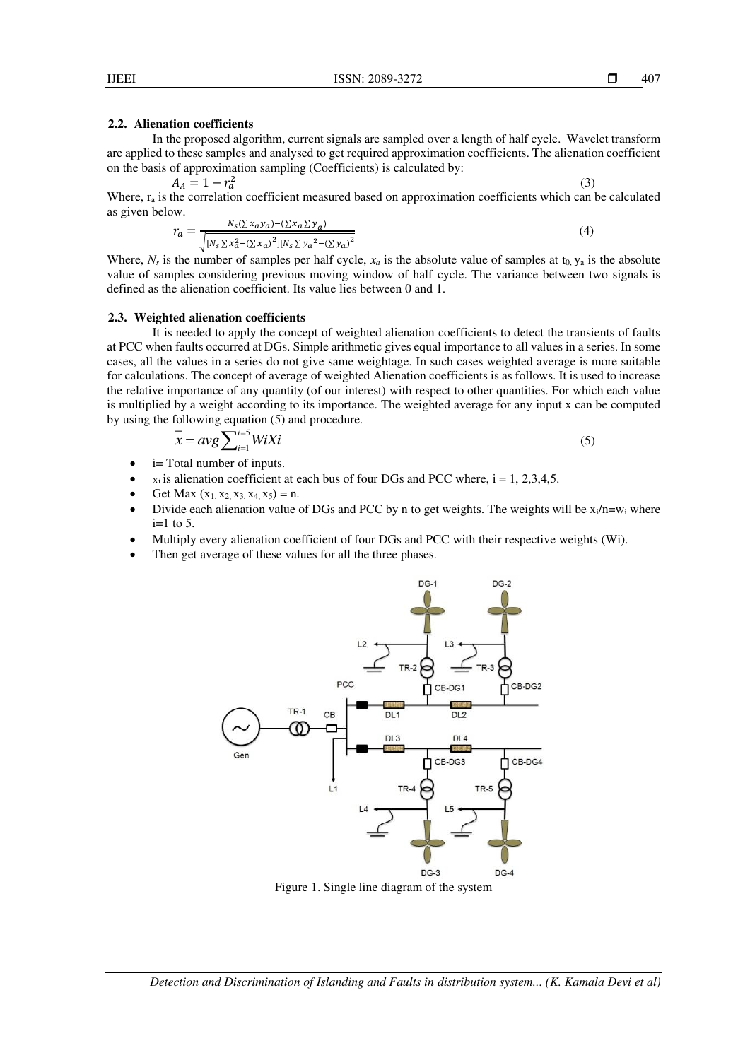# **2.2. Alienation coefficients**

In the proposed algorithm, current signals are sampled over a length of half cycle. Wavelet transform are applied to these samples and analysed to get required approximation coefficients. The alienation coefficient on the basis of approximation sampling (Coefficients) is calculated by:

$$
A_A = 1 - r_a^2 \tag{3}
$$

Where,  $r_a$  is the correlation coefficient measured based on approximation coefficients which can be calculated as given below.

$$
r_a = \frac{N_S(\Sigma x_a y_a) - (\Sigma x_a \Sigma y_a)}{\sqrt{[N_S \Sigma x_a^2 - (\Sigma x_a)^2][N_S \Sigma y_a^2 - (\Sigma y_a)^2}}
$$
(4)

Where,  $N_s$  is the number of samples per half cycle,  $x_a$  is the absolute value of samples at t<sub>0</sub>,  $y_a$  is the absolute value of samples considering previous moving window of half cycle. The variance between two signals is defined as the alienation coefficient. Its value lies between 0 and 1.

## **2.3. Weighted alienation coefficients**

It is needed to apply the concept of weighted alienation coefficients to detect the transients of faults at PCC when faults occurred at DGs. Simple arithmetic gives equal importance to all values in a series. In some cases, all the values in a series do not give same weightage. In such cases weighted average is more suitable for calculations. The concept of average of weighted Alienation coefficients is as follows. It is used to increase the relative importance of any quantity (of our interest) with respect to other quantities. For which each value is multiplied by a weight according to its importance. The weighted average for any input x can be computed by using the following equation (5) and procedure.

$$
\overline{x} = avg \sum_{i=1}^{i=5} W i X i \tag{5}
$$

- i= Total number of inputs.
- $x_i$  is alienation coefficient at each bus of four DGs and PCC where,  $i = 1, 2, 3, 4, 5$ .
- Get Max  $(x_1, x_2, x_3, x_4, x_5) = n$ .
- Divide each alienation value of DGs and PCC by n to get weights. The weights will be  $x_i/n=w_i$  where  $i=1$  to 5.
- Multiply every alienation coefficient of four DGs and PCC with their respective weights (Wi).
- Then get average of these values for all the three phases.



Figure 1. Single line diagram of the system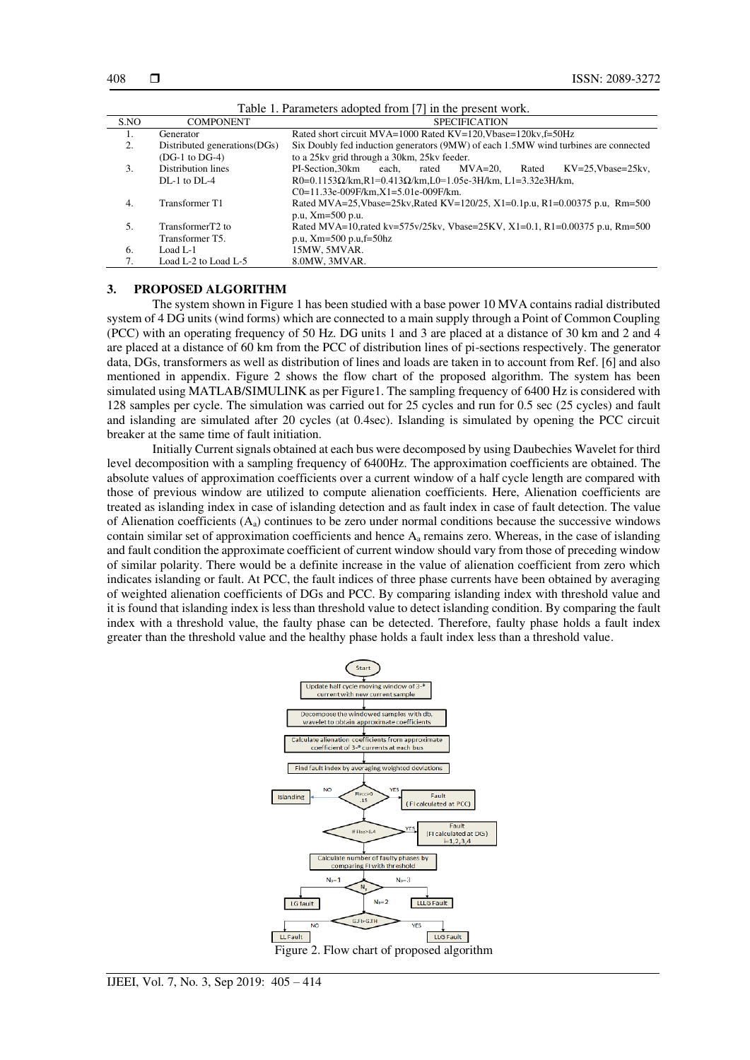| Table 1. Parameters adopted from [7] in the present work. |                               |                                                                                     |  |  |  |  |  |
|-----------------------------------------------------------|-------------------------------|-------------------------------------------------------------------------------------|--|--|--|--|--|
| S.NO                                                      | <b>COMPONENT</b>              | <b>SPECIFICATION</b>                                                                |  |  |  |  |  |
| 1.                                                        | Generator                     | Rated short circuit MVA=1000 Rated KV=120, Vbase=120kv, f=50Hz                      |  |  |  |  |  |
| 2.                                                        | Distributed generations (DGs) | Six Doubly fed induction generators (9MW) of each 1.5MW wind turbines are connected |  |  |  |  |  |
|                                                           | $(DG-1)$ to DG-4)             | to a 25kv grid through a 30km, 25kv feeder.                                         |  |  |  |  |  |
| 3.                                                        | Distribution lines            | PI-Section.30km<br>each.<br>$MVA=20$ .<br>$KV=25.Vbase=25kv.$<br>rated<br>Rated     |  |  |  |  |  |
|                                                           | $DI - 1$ to $DI - 4$          | R0=0.1153 $\Omega$ /km,R1=0.413 $\Omega$ /km,L0=1.05e-3H/km,L1=3.32e3H/km,          |  |  |  |  |  |
|                                                           |                               | $C0=11.33e-009F/km, X1=5.01e-009F/km.$                                              |  |  |  |  |  |
| 4.                                                        | Transformer T1                | Rated MVA=25, Vbase=25kv, Rated KV=120/25, X1=0.1p.u, R1=0.00375 p.u, Rm=500        |  |  |  |  |  |
|                                                           |                               | p.u, Xm=500 p.u.                                                                    |  |  |  |  |  |
| .5.                                                       | TransformerT2 to              | Rated MVA=10, rated kv=575v/25kv, Vbase=25KV, X1=0.1, R1=0.00375 p.u, Rm=500        |  |  |  |  |  |
|                                                           | Transformer T5.               | p.u, $Xm=500$ p.u, $f=50hz$                                                         |  |  |  |  |  |
| 6.                                                        | Load L- $1$                   | 15MW, 5MVAR.                                                                        |  |  |  |  |  |
|                                                           | Load L-2 to Load L-5          | 8.0MW, 3MVAR.                                                                       |  |  |  |  |  |

### **3. PROPOSED ALGORITHM**

The system shown in Figure 1 has been studied with a base power 10 MVA contains radial distributed system of 4 DG units (wind forms) which are connected to a main supply through a Point of Common Coupling (PCC) with an operating frequency of 50 Hz. DG units 1 and 3 are placed at a distance of 30 km and 2 and 4 are placed at a distance of 60 km from the PCC of distribution lines of pi-sections respectively. The generator data, DGs, transformers as well as distribution of lines and loads are taken in to account from Ref. [6] and also mentioned in appendix. Figure 2 shows the flow chart of the proposed algorithm. The system has been simulated using MATLAB/SIMULINK as per Figure1. The sampling frequency of 6400 Hz is considered with 128 samples per cycle. The simulation was carried out for 25 cycles and run for 0.5 sec (25 cycles) and fault and islanding are simulated after 20 cycles (at 0.4sec). Islanding is simulated by opening the PCC circuit breaker at the same time of fault initiation.

 Initially Current signals obtained at each bus were decomposed by using Daubechies Wavelet for third level decomposition with a sampling frequency of 6400Hz. The approximation coefficients are obtained. The absolute values of approximation coefficients over a current window of a half cycle length are compared with those of previous window are utilized to compute alienation coefficients. Here, Alienation coefficients are treated as islanding index in case of islanding detection and as fault index in case of fault detection. The value of Alienation coefficients  $(A_a)$  continues to be zero under normal conditions because the successive windows contain similar set of approximation coefficients and hence Aa remains zero. Whereas, in the case of islanding and fault condition the approximate coefficient of current window should vary from those of preceding window of similar polarity. There would be a definite increase in the value of alienation coefficient from zero which indicates islanding or fault. At PCC, the fault indices of three phase currents have been obtained by averaging of weighted alienation coefficients of DGs and PCC. By comparing islanding index with threshold value and it is found that islanding index is less than threshold value to detect islanding condition. By comparing the fault index with a threshold value, the faulty phase can be detected. Therefore, faulty phase holds a fault index greater than the threshold value and the healthy phase holds a fault index less than a threshold value.

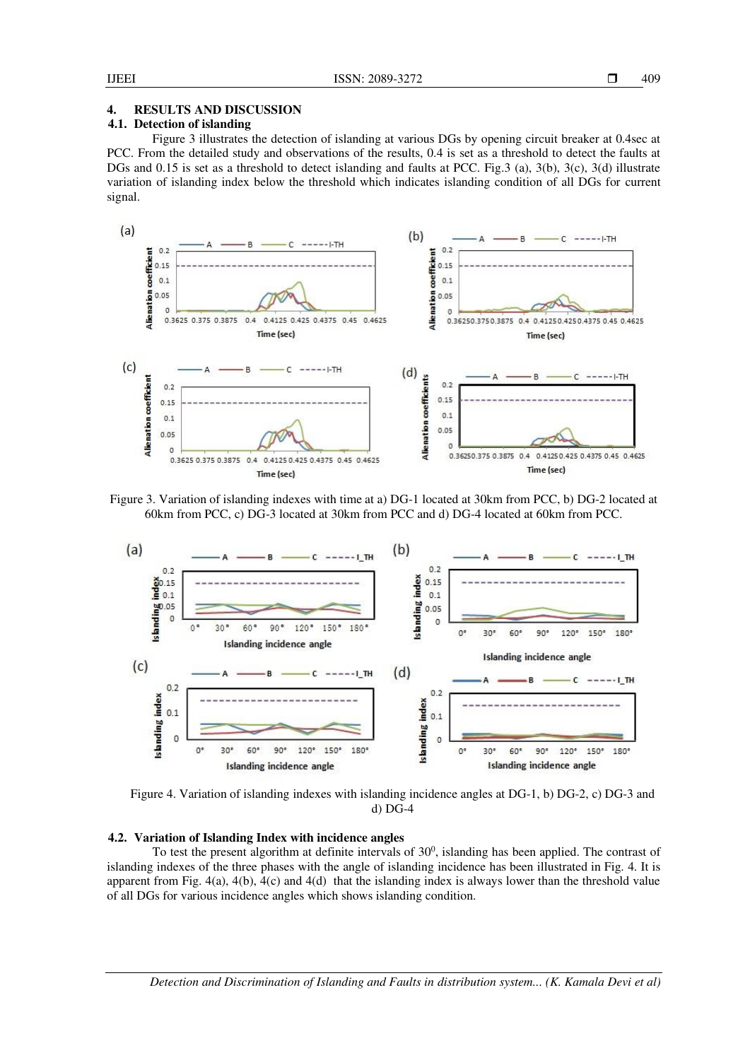# **4. RESULTS AND DISCUSSION**

# **4.1. Detection of islanding**

Figure 3 illustrates the detection of islanding at various DGs by opening circuit breaker at 0.4sec at PCC. From the detailed study and observations of the results, 0.4 is set as a threshold to detect the faults at DGs and 0.15 is set as a threshold to detect islanding and faults at PCC. Fig.3 (a), 3(b), 3(c), 3(d) illustrate variation of islanding index below the threshold which indicates islanding condition of all DGs for current signal.



Figure 3. Variation of islanding indexes with time at a) DG-1 located at 30km from PCC, b) DG-2 located at 60km from PCC, c) DG-3 located at 30km from PCC and d) DG-4 located at 60km from PCC.



Figure 4. Variation of islanding indexes with islanding incidence angles at DG-1, b) DG-2, c) DG-3 and d) DG-4

#### **4.2. Variation of Islanding Index with incidence angles**

To test the present algorithm at definite intervals of  $30<sup>0</sup>$ , islanding has been applied. The contrast of islanding indexes of the three phases with the angle of islanding incidence has been illustrated in Fig. 4. It is apparent from Fig.  $4(a)$ ,  $4(b)$ ,  $4(c)$  and  $4(d)$  that the islanding index is always lower than the threshold value of all DGs for various incidence angles which shows islanding condition.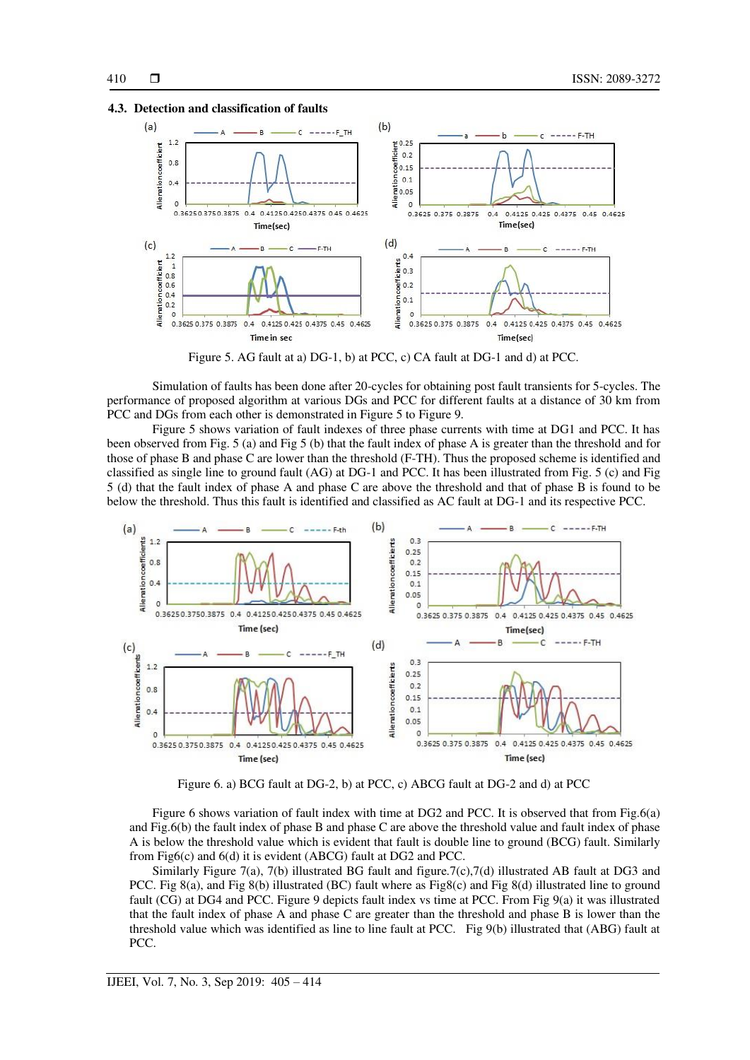



Figure 5. AG fault at a) DG-1, b) at PCC, c) CA fault at DG-1 and d) at PCC.

Simulation of faults has been done after 20-cycles for obtaining post fault transients for 5-cycles. The performance of proposed algorithm at various DGs and PCC for different faults at a distance of 30 km from PCC and DGs from each other is demonstrated in Figure 5 to Figure 9.

 Figure 5 shows variation of fault indexes of three phase currents with time at DG1 and PCC. It has been observed from Fig. 5 (a) and Fig 5 (b) that the fault index of phase A is greater than the threshold and for those of phase B and phase C are lower than the threshold (F-TH). Thus the proposed scheme is identified and classified as single line to ground fault (AG) at DG-1 and PCC. It has been illustrated from Fig. 5 (c) and Fig 5 (d) that the fault index of phase A and phase C are above the threshold and that of phase B is found to be below the threshold. Thus this fault is identified and classified as AC fault at DG-1 and its respective PCC.



Figure 6. a) BCG fault at DG-2, b) at PCC, c) ABCG fault at DG-2 and d) at PCC

Figure 6 shows variation of fault index with time at DG2 and PCC. It is observed that from Fig.6(a) and Fig.6(b) the fault index of phase B and phase C are above the threshold value and fault index of phase A is below the threshold value which is evident that fault is double line to ground (BCG) fault. Similarly from Fig6(c) and 6(d) it is evident (ABCG) fault at DG2 and PCC.

Similarly Figure 7(a), 7(b) illustrated BG fault and figure.7(c),7(d) illustrated AB fault at DG3 and PCC. Fig 8(a), and Fig 8(b) illustrated (BC) fault where as Fig8(c) and Fig 8(d) illustrated line to ground fault (CG) at DG4 and PCC. Figure 9 depicts fault index vs time at PCC. From Fig 9(a) it was illustrated that the fault index of phase A and phase C are greater than the threshold and phase B is lower than the threshold value which was identified as line to line fault at PCC. Fig 9(b) illustrated that (ABG) fault at PCC.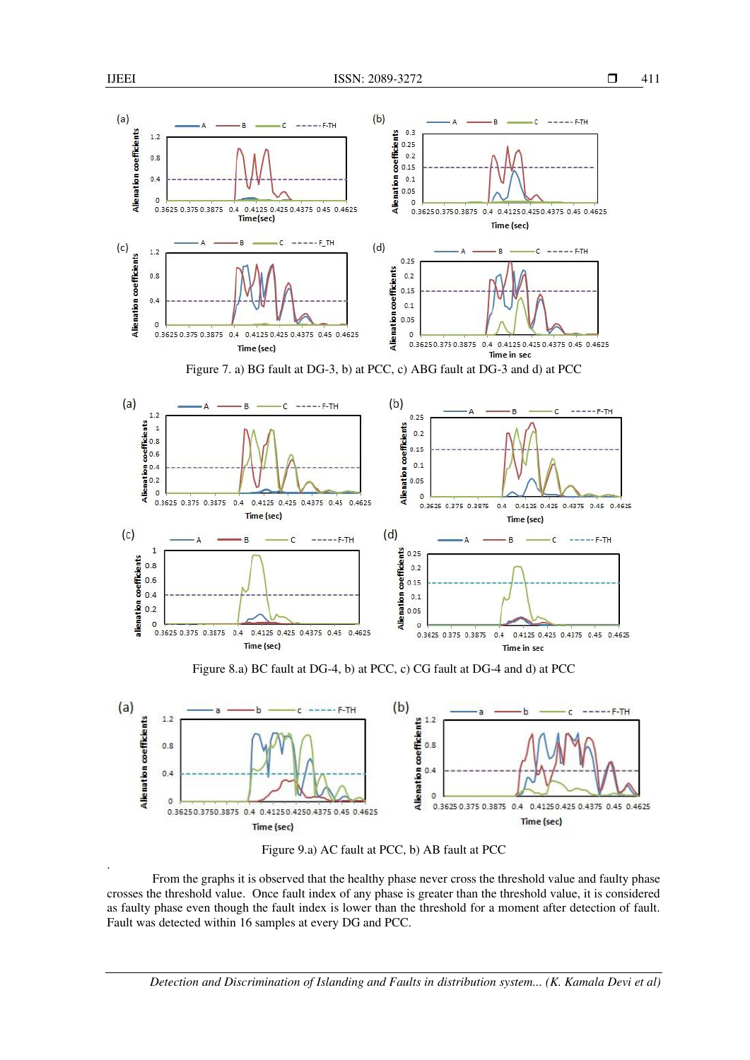.



Figure 9.a) AC fault at PCC, b) AB fault at PCC

From the graphs it is observed that the healthy phase never cross the threshold value and faulty phase crosses the threshold value. Once fault index of any phase is greater than the threshold value, it is considered as faulty phase even though the fault index is lower than the threshold for a moment after detection of fault. Fault was detected within 16 samples at every DG and PCC.

*Detection and Discrimination of Islanding and Faults in distribution system... (K. Kamala Devi et al)*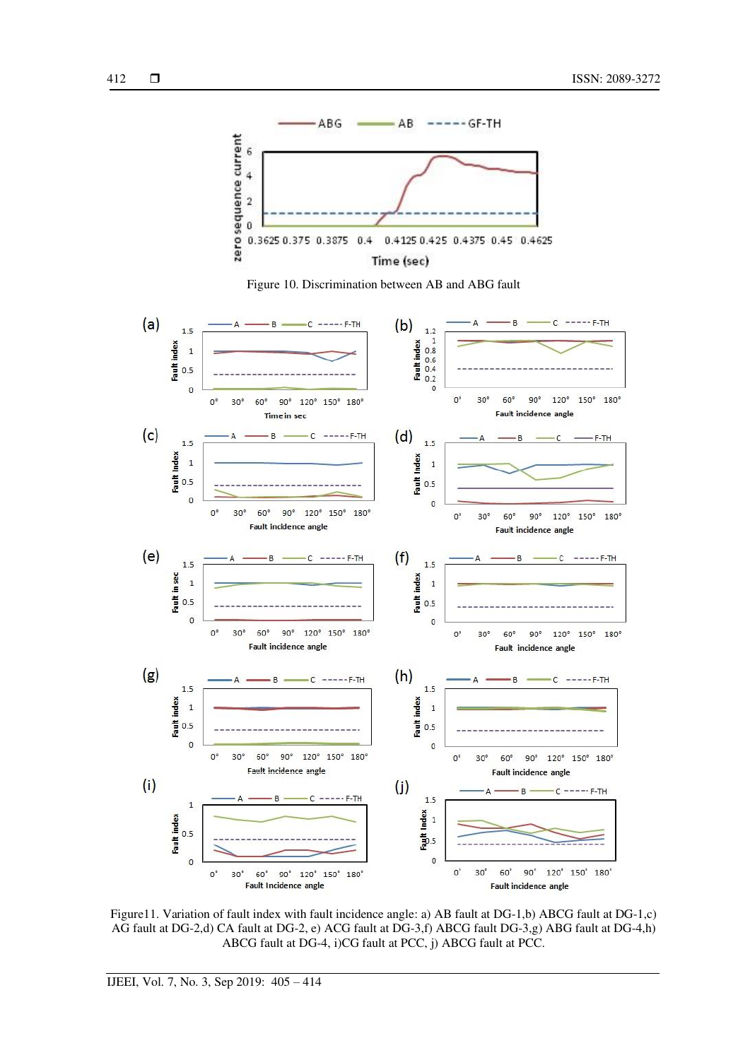





Figure11. Variation of fault index with fault incidence angle: a) AB fault at DG-1,b) ABCG fault at DG-1,c) AG fault at DG-2,d) CA fault at DG-2, e) ACG fault at DG-3,f) ABCG fault DG-3,g) ABG fault at DG-4,h) ABCG fault at DG-4, i)CG fault at PCC, j) ABCG fault at PCC.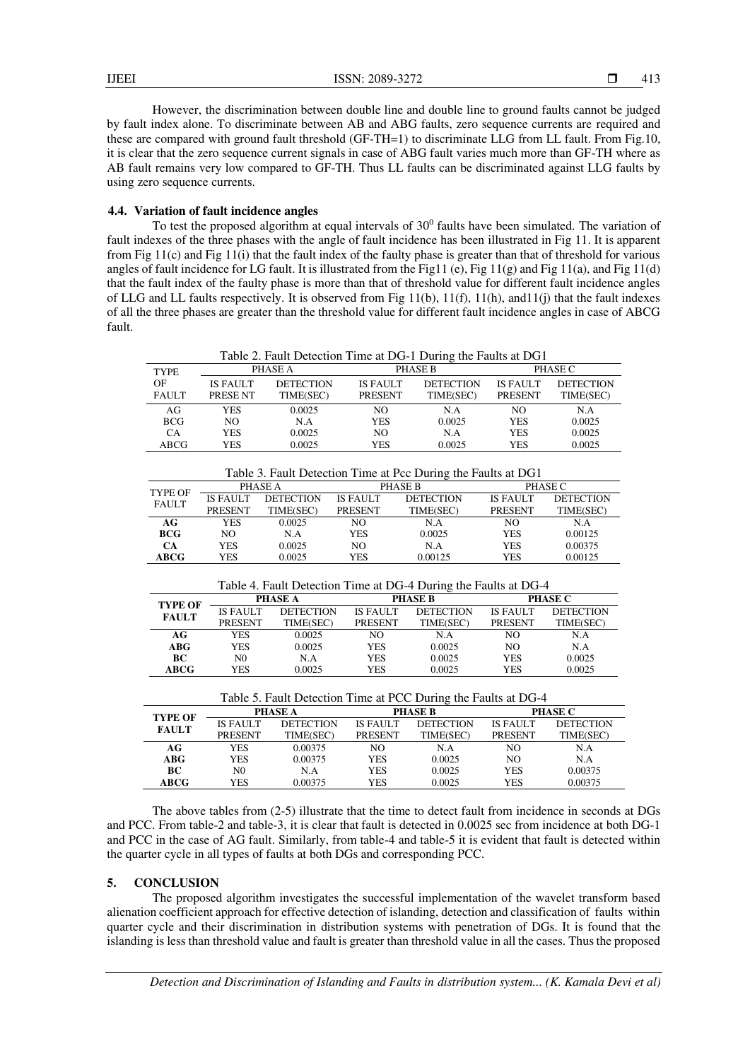However, the discrimination between double line and double line to ground faults cannot be judged by fault index alone. To discriminate between AB and ABG faults, zero sequence currents are required and these are compared with ground fault threshold (GF-TH=1) to discriminate LLG from LL fault. From Fig.10, it is clear that the zero sequence current signals in case of ABG fault varies much more than GF-TH where as AB fault remains very low compared to GF-TH. Thus LL faults can be discriminated against LLG faults by using zero sequence currents.

#### **4.4. Variation of fault incidence angles**

To test the proposed algorithm at equal intervals of  $30<sup>0</sup>$  faults have been simulated. The variation of fault indexes of the three phases with the angle of fault incidence has been illustrated in Fig 11. It is apparent from Fig 11(c) and Fig 11(i) that the fault index of the faulty phase is greater than that of threshold for various angles of fault incidence for LG fault. It is illustrated from the Fig11 (e), Fig 11(g) and Fig 11(a), and Fig 11(d) that the fault index of the faulty phase is more than that of threshold value for different fault incidence angles of LLG and LL faults respectively. It is observed from Fig 11(b), 11(f), 11(h), and11(j) that the fault indexes of all the three phases are greater than the threshold value for different fault incidence angles in case of ABCG fault.

Table 2. Fault Detection Time at DG-1 During the Faults at DG1

| <b>TYPE</b>        | PHASE A                    |                               | <b>PHASE B</b>                    |                               | PHASE C                           |                               |
|--------------------|----------------------------|-------------------------------|-----------------------------------|-------------------------------|-----------------------------------|-------------------------------|
| OF<br><b>FAULT</b> | <b>IS FAULT</b><br>PRESENT | <b>DETECTION</b><br>TIME(SEC) | <b>IS FAULT</b><br><b>PRESENT</b> | <b>DETECTION</b><br>TIME(SEC) | <b>IS FAULT</b><br><b>PRESENT</b> | <b>DETECTION</b><br>TIME(SEC) |
| AG                 | YES                        | 0.0025                        | NO                                | N.A                           | N <sub>O</sub>                    | N.A                           |
| <b>BCG</b>         | NO.                        | N.A                           | YES                               | 0.0025                        | <b>YES</b>                        | 0.0025                        |
| CА                 | YES                        | 0.0025                        | NO                                | N.A                           | <b>YES</b>                        | 0.0025                        |
| <b>ABCG</b>        | YES                        | 0.0025                        | YES                               | 0.0025                        | <b>YES</b>                        | 0.0025                        |

Table 3. Fault Detection Time at Pcc During the Faults at DG1

| TYPE OF<br><b>FAULT</b> | PHASE A         |                  |                 | PHASE B          | PHASE C         |                  |
|-------------------------|-----------------|------------------|-----------------|------------------|-----------------|------------------|
|                         | <b>IS FAULT</b> | <b>DETECTION</b> | <b>IS FAULT</b> | <b>DETECTION</b> | <b>IS FAULT</b> | <b>DETECTION</b> |
|                         | <b>PRESENT</b>  | TIME(SEC)        | <b>PRESENT</b>  | TIME(SEC)        | <b>PRESENT</b>  | TIME(SEC)        |
| AG                      | YES             | 0.0025           | NΟ              | N.A              | NO              | N.A              |
| <b>BCG</b>              | NO.             | N.A              | <b>YES</b>      | 0.0025           | <b>YES</b>      | 0.00125          |
| <b>CA</b>               | YES             | 0.0025           | NO.             | N.A              | YES             | 0.00375          |
| <b>ABCG</b>             | YES             | 0.0025           | YES             | 0.00125          | YES             | 0.00125          |

Table 4. Fault Detection Time at DG-4 During the Faults at DG-4

| <b>TYPE OF</b> | <b>PHASE A</b>  |                  | <b>PHASE B</b>  |                  | <b>PHASE C</b>  |                  |
|----------------|-----------------|------------------|-----------------|------------------|-----------------|------------------|
| <b>FAULT</b>   | <b>IS FAULT</b> | <b>DETECTION</b> | <b>IS FAULT</b> | <b>DETECTION</b> | <b>IS FAULT</b> | <b>DETECTION</b> |
|                | <b>PRESENT</b>  | TIME(SEC)        | <b>PRESENT</b>  | TIME(SEC)        | <b>PRESENT</b>  | TIME(SEC)        |
| AG             | YES             | 0.0025           | NO              | N.A              | NΟ              | N.A              |
| ABG            | YES             | 0.0025           | YES             | 0.0025           | NO              | N.A              |
| BC             | N0              | N.A              | YES             | 0.0025           | YES             | 0.0025           |
| <b>ABCG</b>    | YES             | 0.0025           | YES             | 0.0025           | <b>YES</b>      | 0.0025           |

| Table 5. Fault Detection Time at PCC During the Faults at DG-4 |                 |                  |                 |                  |                 |                  |  |
|----------------------------------------------------------------|-----------------|------------------|-----------------|------------------|-----------------|------------------|--|
| <b>TYPE OF</b>                                                 | <b>PHASE A</b>  |                  | <b>PHASE B</b>  |                  | <b>PHASE C</b>  |                  |  |
| <b>FAULT</b>                                                   | <b>IS FAULT</b> | <b>DETECTION</b> | <b>IS FAULT</b> | <b>DETECTION</b> | <b>IS FAULT</b> | <b>DETECTION</b> |  |
|                                                                | <b>PRESENT</b>  | TIME(SEC)        | <b>PRESENT</b>  | TIME(SEC)        | <b>PRESENT</b>  | TIME(SEC)        |  |
| AG                                                             | <b>YES</b>      | 0.00375          | NO.             | N.A              | NO.             | N.A              |  |
| $\bf{A} \bf{B} \bf{G}$                                         | <b>YES</b>      | 0.00375          | <b>YES</b>      | 0.0025           | NO.             | N.A              |  |
| BC.                                                            | N <sub>0</sub>  | N.A              | <b>YES</b>      | 0.0025           | <b>YES</b>      | 0.00375          |  |
| <b>ABCG</b>                                                    | YES             | 0.00375          | <b>YES</b>      | 0.0025           | <b>YES</b>      | 0.00375          |  |

The above tables from (2-5) illustrate that the time to detect fault from incidence in seconds at DGs and PCC. From table-2 and table-3, it is clear that fault is detected in 0.0025 sec from incidence at both DG-1 and PCC in the case of AG fault. Similarly, from table-4 and table-5 it is evident that fault is detected within the quarter cycle in all types of faults at both DGs and corresponding PCC.

#### **5. CONCLUSION**

The proposed algorithm investigates the successful implementation of the wavelet transform based alienation coefficient approach for effective detection of islanding, detection and classification of faults within quarter cycle and their discrimination in distribution systems with penetration of DGs. It is found that the islanding is less than threshold value and fault is greater than threshold value in all the cases. Thus the proposed